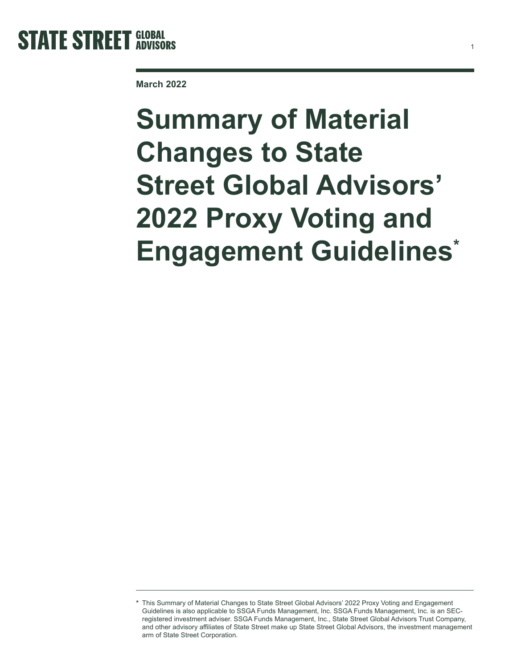

**March 2022**

# **Summary of Material Changes to State Street Global Advisors' 2022 Proxy Voting and Engagement Guidelines\***

1

**<sup>\*</sup>** This Summary of Material Changes to State Street Global Advisors' 2022 Proxy Voting and Engagement Guidelines is also applicable to SSGA Funds Management, Inc. SSGA Funds Management, Inc. is an SECregistered investment adviser. SSGA Funds Management, Inc., State Street Global Advisors Trust Company, and other advisory affiliates of State Street make up State Street Global Advisors, the investment management arm of State Street Corporation.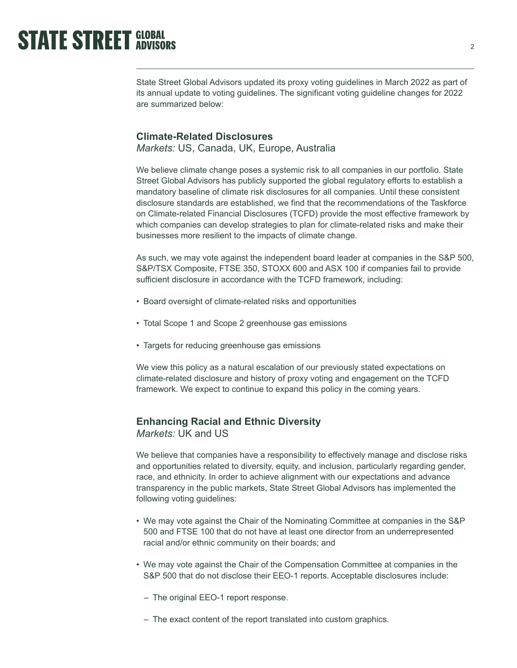State Street Global Advisors updated its proxy voting guidelines in March 2022 as part of its annual update to voting guidelines. The significant voting guideline changes for 2022 are summarized below:

#### **Climate-Related Disclosures**

*Markets:* US, Canada, UK, Europe, Australia

We believe climate change poses a systemic risk to all companies in our portfolio. State Street Global Advisors has publicly supported the global regulatory efforts to establish a mandatory baseline of climate risk disclosures for all companies. Until these consistent disclosure standards are established, we find that the recommendations of the Taskforce on Climate-related Financial Disclosures (TCFD) provide the most effective framework by which companies can develop strategies to plan for climate-related risks and make their businesses more resilient to the impacts of climate change.

As such, we may vote against the independent board leader at companies in the S&P 500, S&P/TSX Composite, FTSE 350, STOXX 600 and ASX 100 if companies fail to provide sufficient disclosure in accordance with the TCFD framework, including:

- Board oversight of climate-related risks and opportunities
- Total Scope 1 and Scope 2 greenhouse gas emissions
- Targets for reducing greenhouse gas emissions

We view this policy as a natural escalation of our previously stated expectations on climate-related disclosure and history of proxy voting and engagement on the TCFD framework. We expect to continue to expand this policy in the coming years.

#### **Enhancing Racial and Ethnic Diversity** *Markets:* UK and US

We believe that companies have a responsibility to effectively manage and disclose risks and opportunities related to diversity, equity, and inclusion, particularly regarding gender, race, and ethnicity. In order to achieve alignment with our expectations and advance transparency in the public markets, State Street Global Advisors has implemented the following voting guidelines:

- We may vote against the Chair of the Nominating Committee at companies in the S&P 500 and FTSE 100 that do not have at least one director from an underrepresented racial and/or ethnic community on their boards; and
- We may vote against the Chair of the Compensation Committee at companies in the S&P 500 that do not disclose their EEO-1 reports. Acceptable disclosures include:
	- The original EEO-1 report response.
	- The exact content of the report translated into custom graphics.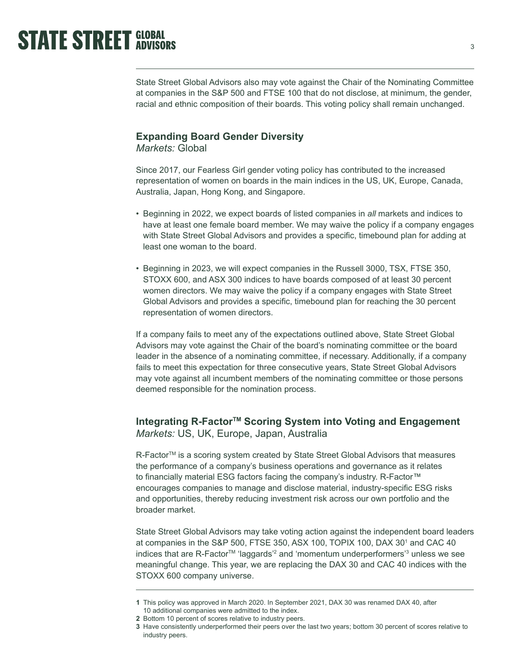State Street Global Advisors also may vote against the Chair of the Nominating Committee at companies in the S&P 500 and FTSE 100 that do not disclose, at minimum, the gender, racial and ethnic composition of their boards. This voting policy shall remain unchanged.

#### **Expanding Board Gender Diversity**

*Markets:* Global

Since 2017, our Fearless Girl gender voting policy has contributed to the increased representation of women on boards in the main indices in the US, UK, Europe, Canada, Australia, Japan, Hong Kong, and Singapore.

- Beginning in 2022, we expect boards of listed companies in *all* markets and indices to have at least one female board member. We may waive the policy if a company engages with State Street Global Advisors and provides a specific, timebound plan for adding at least one woman to the board.
- Beginning in 2023, we will expect companies in the Russell 3000, TSX, FTSE 350, STOXX 600, and ASX 300 indices to have boards composed of at least 30 percent women directors. We may waive the policy if a company engages with State Street Global Advisors and provides a specific, timebound plan for reaching the 30 percent representation of women directors.

If a company fails to meet any of the expectations outlined above, State Street Global Advisors may vote against the Chair of the board's nominating committee or the board leader in the absence of a nominating committee, if necessary. Additionally, if a company fails to meet this expectation for three consecutive years, State Street Global Advisors may vote against all incumbent members of the nominating committee or those persons deemed responsible for the nomination process.

### **Integrating R-FactorTM Scoring System into Voting and Engagement** *Markets:* US, UK, Europe, Japan, Australia

R-Factor<sup>™</sup> is a scoring system created by State Street Global Advisors that measures the performance of a company's business operations and governance as it relates to financially material ESG factors facing the company's industry. R-Factor™ encourages companies to manage and disclose material, industry-specific ESG risks and opportunities, thereby reducing investment risk across our own portfolio and the broader market.

State Street Global Advisors may take voting action against the independent board leaders at companies in the S&P 500, FTSE 350, ASX 100, TOPIX 100, DAX 30<sup>1</sup> and CAC 40 indices that are R-Factor™ 'laggards'<sup>2</sup> and 'momentum underperformers'<sup>3</sup> unless we see meaningful change. This year, we are replacing the DAX 30 and CAC 40 indices with the STOXX 600 company universe.

**<sup>1</sup>** This policy was approved in March 2020. In September 2021, DAX 30 was renamed DAX 40, after 10 additional companies were admitted to the index.

**<sup>2</sup>** Bottom 10 percent of scores relative to industry peers.

**<sup>3</sup>** Have consistently underperformed their peers over the last two years; bottom 30 percent of scores relative to industry peers.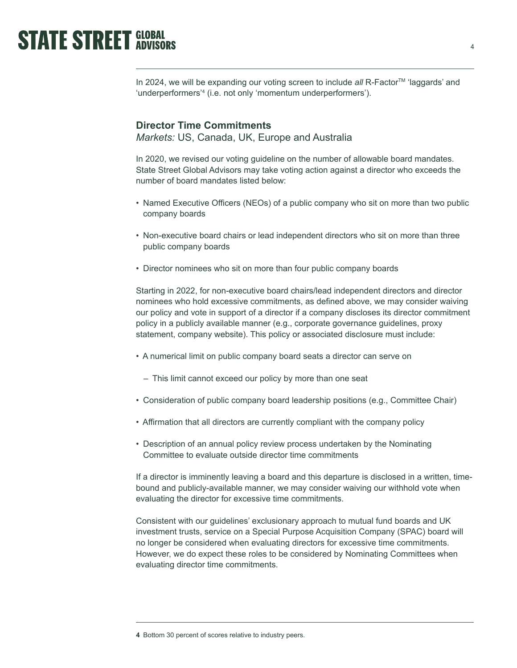In 2024, we will be expanding our voting screen to include all R-Factor<sup>™</sup> 'laggards' and 'underperformers'4 (i.e. not only 'momentum underperformers').

#### **Director Time Commitments**

*Markets:* US, Canada, UK, Europe and Australia

In 2020, we revised our voting guideline on the number of allowable board mandates. State Street Global Advisors may take voting action against a director who exceeds the number of board mandates listed below:

- Named Executive Officers (NEOs) of a public company who sit on more than two public company boards
- Non-executive board chairs or lead independent directors who sit on more than three public company boards
- Director nominees who sit on more than four public company boards

Starting in 2022, for non-executive board chairs/lead independent directors and director nominees who hold excessive commitments, as defined above, we may consider waiving our policy and vote in support of a director if a company discloses its director commitment policy in a publicly available manner (e.g., corporate governance guidelines, proxy statement, company website). This policy or associated disclosure must include:

- A numerical limit on public company board seats a director can serve on
	- This limit cannot exceed our policy by more than one seat
- Consideration of public company board leadership positions (e.g., Committee Chair)
- Affirmation that all directors are currently compliant with the company policy
- Description of an annual policy review process undertaken by the Nominating Committee to evaluate outside director time commitments

If a director is imminently leaving a board and this departure is disclosed in a written, timebound and publicly-available manner, we may consider waiving our withhold vote when evaluating the director for excessive time commitments.

Consistent with our guidelines' exclusionary approach to mutual fund boards and UK investment trusts, service on a Special Purpose Acquisition Company (SPAC) board will no longer be considered when evaluating directors for excessive time commitments. However, we do expect these roles to be considered by Nominating Committees when evaluating director time commitments.

**<sup>4</sup>** Bottom 30 percent of scores relative to industry peers.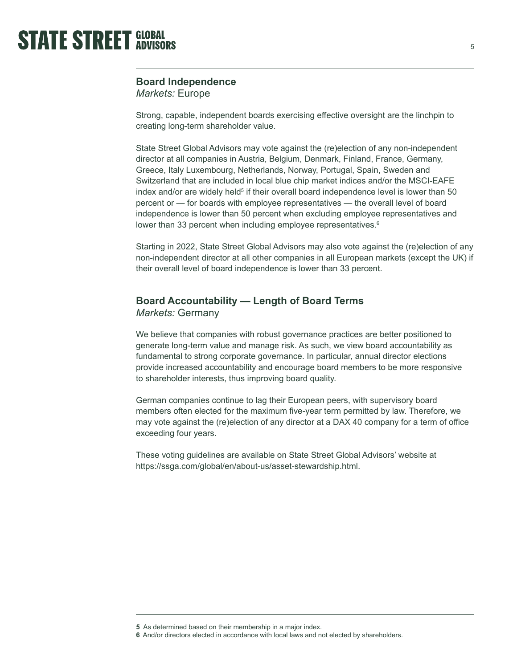

### **Board Independence**

*Markets:* Europe

Strong, capable, independent boards exercising effective oversight are the linchpin to creating long-term shareholder value.

State Street Global Advisors may vote against the (re)election of any non-independent director at all companies in Austria, Belgium, Denmark, Finland, France, Germany, Greece, Italy Luxembourg, Netherlands, Norway, Portugal, Spain, Sweden and Switzerland that are included in local blue chip market indices and/or the MSCI-EAFE index and/or are widely held $^5$  if their overall board independence level is lower than 50  $\,$ percent or — for boards with employee representatives — the overall level of board independence is lower than 50 percent when excluding employee representatives and lower than 33 percent when including employee representatives.<sup>6</sup>

Starting in 2022, State Street Global Advisors may also vote against the (re)election of any non-independent director at all other companies in all European markets (except the UK) if their overall level of board independence is lower than 33 percent.

#### **Board Accountability — Length of Board Terms**

*Markets:* Germany

We believe that companies with robust governance practices are better positioned to generate long-term value and manage risk. As such, we view board accountability as fundamental to strong corporate governance. In particular, annual director elections provide increased accountability and encourage board members to be more responsive to shareholder interests, thus improving board quality.

German companies continue to lag their European peers, with supervisory board members often elected for the maximum five-year term permitted by law. Therefore, we may vote against the (re)election of any director at a DAX 40 company for a term of office exceeding four years.

These voting guidelines are available on State Street Global Advisors' website at <https://ssga.com/global/en/about-us/asset-stewardship.html>.

**<sup>5</sup>** As determined based on their membership in a major index.

**<sup>6</sup>** And/or directors elected in accordance with local laws and not elected by shareholders.